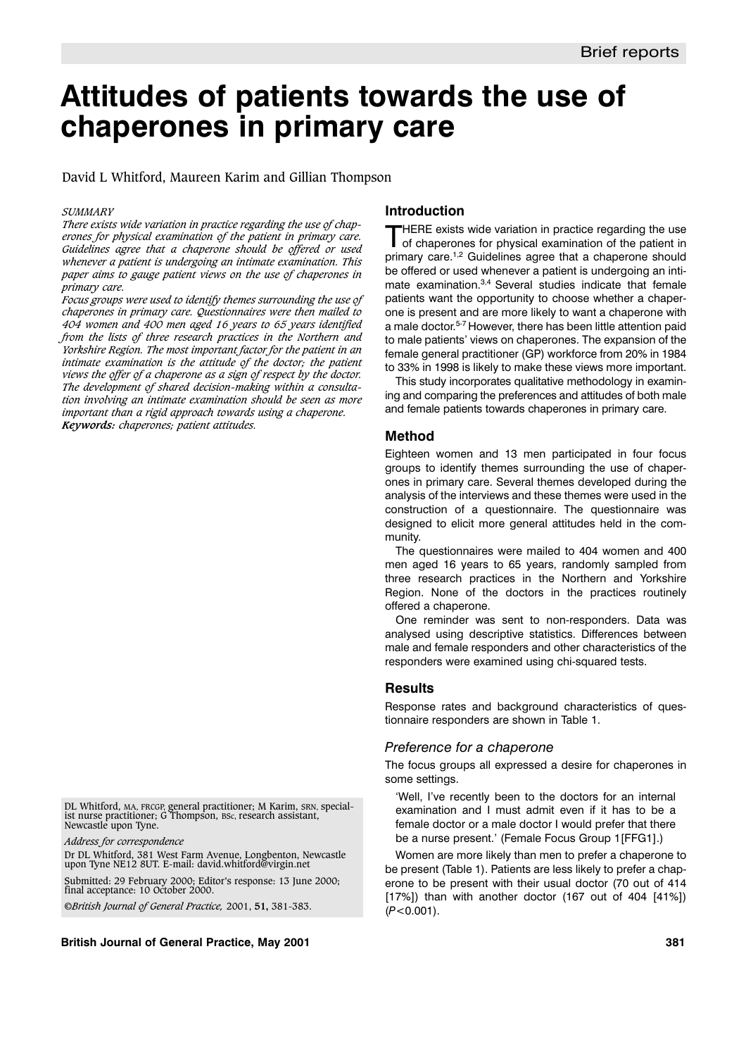# **Attitudes of patients towards the use of chaperones in primary care**

David L Whitford, Maureen Karim and Gillian Thompson

#### *SUMMARY*

*There exists wide variation in practice regarding the use of chaperones for physical examination of the patient in primary care. Guidelines agree that a chaperone should be offered or used whenever a patient is undergoing an intimate examination. This paper aims to gauge patient views on the use of chaperones in primary care.*

*Focus groups were used to identify themes surrounding the use of chaperones in primary care. Questionnaires were then mailed to 404 women and 400 men aged 16 years to 65 years identified from the lists of three research practices in the Northern and Yorkshire Region. The most important factor for the patient in an intimate examination is the attitude of the doctor; the patient views the offer of a chaperone as a sign of respect by the doctor. The development of shared decision-making within a consultation involving an intimate examination should be seen as more important than a rigid approach towards using a chaperone. Keywords: chaperones; patient attitudes.*

DL Whitford, MA, FRCGP, general practitioner; M Karim, SRN, special-<br>ist nurse practitioner; G Thompson, Bsc, research assistant,<br>Newcastle upon Tyne.

*Address for correspondence*

Dr DL Whitford, 381 West Farm Avenue, Longbenton, Newcastle upon Tyne NE12 8UT. E-mail: david.whitford@virgin.net

Submitted: 29 February 2000; Editor's response: 13 June 2000; final acceptance: 10 October 2000.

©*British Journal of General Practice,* 2001, **51,** 381-383.

**British Journal of General Practice, May 2001 381**

## **Introduction**

THERE exists wide variation in practice regarding the use of chaperones for physical examination of the patient in primary care.1,2 Guidelines agree that a chaperone should be offered or used whenever a patient is undergoing an intimate examination.<sup>3,4</sup> Several studies indicate that female patients want the opportunity to choose whether a chaperone is present and are more likely to want a chaperone with a male doctor.5-7 However, there has been little attention paid to male patients' views on chaperones. The expansion of the female general practitioner (GP) workforce from 20% in 1984 to 33% in 1998 is likely to make these views more important.

This study incorporates qualitative methodology in examining and comparing the preferences and attitudes of both male and female patients towards chaperones in primary care.

## **Method**

Eighteen women and 13 men participated in four focus groups to identify themes surrounding the use of chaperones in primary care. Several themes developed during the analysis of the interviews and these themes were used in the construction of a questionnaire. The questionnaire was designed to elicit more general attitudes held in the community.

The questionnaires were mailed to 404 women and 400 men aged 16 years to 65 years, randomly sampled from three research practices in the Northern and Yorkshire Region. None of the doctors in the practices routinely offered a chaperone.

One reminder was sent to non-responders. Data was analysed using descriptive statistics. Differences between male and female responders and other characteristics of the responders were examined using chi-squared tests.

## **Results**

Response rates and background characteristics of questionnaire responders are shown in Table 1.

## *Preference for a chaperone*

The focus groups all expressed a desire for chaperones in some settings.

'Well, I've recently been to the doctors for an internal examination and I must admit even if it has to be a female doctor or a male doctor I would prefer that there be a nurse present.' (Female Focus Group 1[FFG1].)

Women are more likely than men to prefer a chaperone to be present (Table 1). Patients are less likely to prefer a chaperone to be present with their usual doctor (70 out of 414  $[17\%]$ ) than with another doctor  $(167 \text{ out of } 404 \, [41\%])$ (*P*<0.001).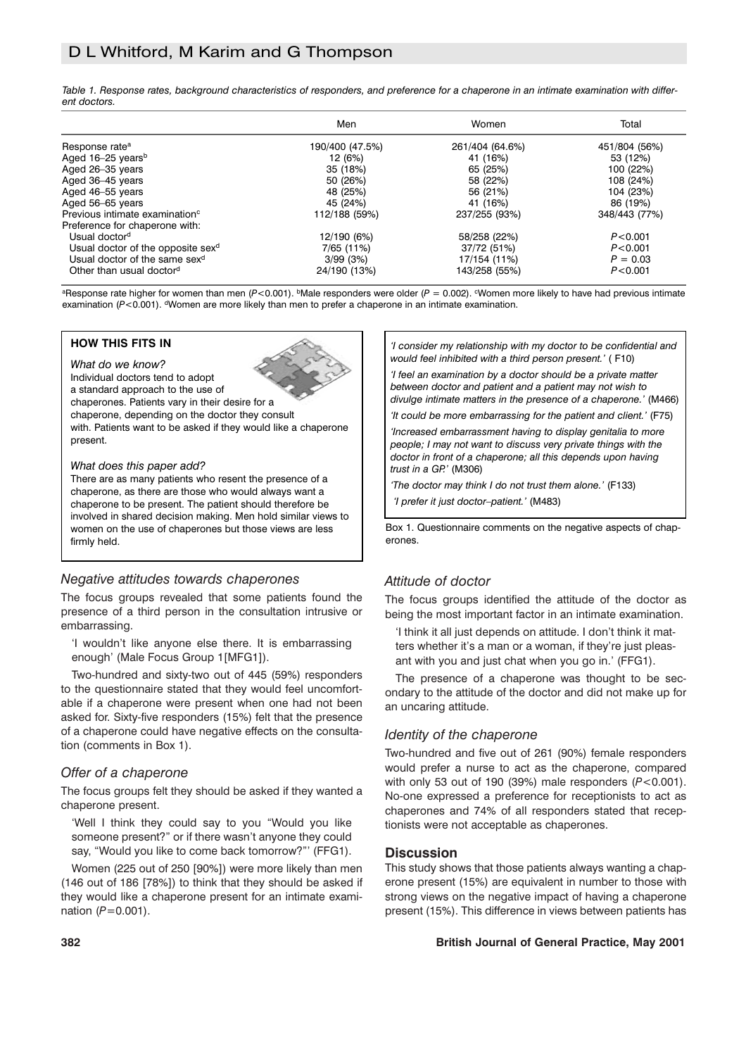## D L Whitford, M Karim and G Thompson

*Table 1. Response rates, background characteristics of responders, and preference for a chaperone in an intimate examination with different doctors.*

|                                               | Men             | Women           | Total         |
|-----------------------------------------------|-----------------|-----------------|---------------|
| Response rate <sup>a</sup>                    | 190/400 (47.5%) | 261/404 (64.6%) | 451/804 (56%) |
| Aged 16-25 years <sup>b</sup>                 | 12 (6%)         | 41 (16%)        | 53 (12%)      |
| Aged 26-35 years                              | 35 (18%)        | 65 (25%)        | 100 (22%)     |
| Aged 36-45 years                              | 50 (26%)        | 58 (22%)        | 108 (24%)     |
| Aged 46-55 years                              | 48 (25%)        | 56 (21%)        | 104 (23%)     |
| Aged 56-65 years                              | 45 (24%)        | 41 (16%)        | 86 (19%)      |
| Previous intimate examination <sup>c</sup>    | 112/188 (59%)   | 237/255 (93%)   | 348/443 (77%) |
| Preference for chaperone with:                |                 |                 |               |
| Usual doctor <sup>d</sup>                     | 12/190 (6%)     | 58/258 (22%)    | P < 0.001     |
| Usual doctor of the opposite sex <sup>d</sup> | 7/65 (11%)      | 37/72 (51%)     | P < 0.001     |
| Usual doctor of the same sex <sup>d</sup>     | 3/99(3%)        | 17/154 (11%)    | $P = 0.03$    |
| Other than usual doctord                      | 24/190 (13%)    | 143/258 (55%)   | P < 0.001     |

<sup>a</sup>Response rate higher for women than men (P<0.001). <sup>b</sup>Male responders were older (P = 0.002). Women more likely to have had previous intimate examination  $(P<0.001)$ . <sup>d</sup>Women are more likely than men to prefer a chaperone in an intimate examination.

## **HOW THIS FITS IN**

*What do we know?*

Individual doctors tend to adopt a standard approach to the use of



chaperones. Patients vary in their desire for a chaperone, depending on the doctor they consult

with. Patients want to be asked if they would like a chaperone present.

#### *What does this paper add?*

There are as many patients who resent the presence of a chaperone, as there are those who would always want a chaperone to be present. The patient should therefore be involved in shared decision making. Men hold similar views to women on the use of chaperones but those views are less firmly held.

## *Negative attitudes towards chaperones*

The focus groups revealed that some patients found the presence of a third person in the consultation intrusive or embarrassing.

'I wouldn't like anyone else there. It is embarrassing enough' (Male Focus Group 1[MFG1]).

Two-hundred and sixty-two out of 445 (59%) responders to the questionnaire stated that they would feel uncomfortable if a chaperone were present when one had not been asked for. Sixty-five responders (15%) felt that the presence of a chaperone could have negative effects on the consultation (comments in Box 1).

## *Offer of a chaperone*

The focus groups felt they should be asked if they wanted a chaperone present.

'Well I think they could say to you "Would you like someone present?" or if there wasn't anyone they could say, "Would you like to come back tomorrow?"' (FFG1).

Women (225 out of 250 [90%]) were more likely than men (146 out of 186 [78%]) to think that they should be asked if they would like a chaperone present for an intimate examination ( $P$ =0.001).

*'I consider my relationship with my doctor to be confidential and would feel inhibited with a third person present.'* ( F10)

*'I feel an examination by a doctor should be a private matter between doctor and patient and a patient may not wish to divulge intimate matters in the presence of a chaperone.'* (M466)

*'It could be more embarrassing for the patient and client.'* (F75) *'Increased embarrassment having to display genitalia to more people; I may not want to discuss very private things with the doctor in front of a chaperone; all this depends upon having trust in a GP.'* (M306)

*'The doctor may think I do not trust them alone.'* (F133) *'I prefer it just doctor–patient.'* (M483)

Box 1. Questionnaire comments on the negative aspects of chaperones.

## *Attitude of doctor*

The focus groups identified the attitude of the doctor as being the most important factor in an intimate examination.

'I think it all just depends on attitude. I don't think it matters whether it's a man or a woman, if they're just pleasant with you and just chat when you go in.' (FFG1).

The presence of a chaperone was thought to be secondary to the attitude of the doctor and did not make up for an uncaring attitude.

## *Identity of the chaperone*

Two-hundred and five out of 261 (90%) female responders would prefer a nurse to act as the chaperone, compared with only 53 out of 190 (39%) male responders (*P*<0.001). No-one expressed a preference for receptionists to act as chaperones and 74% of all responders stated that receptionists were not acceptable as chaperones.

## **Discussion**

This study shows that those patients always wanting a chaperone present (15%) are equivalent in number to those with strong views on the negative impact of having a chaperone present (15%). This difference in views between patients has

## **382 British Journal of General Practice, May 2001**